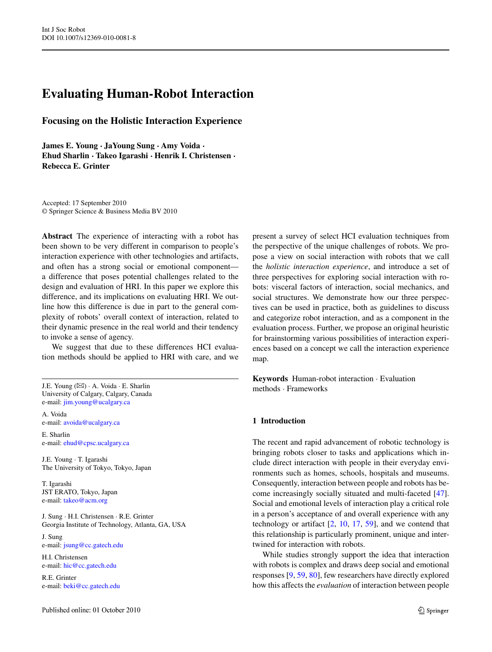# **Evaluating Human-Robot Interaction**

**Focusing on the Holistic Interaction Experience**

**James E. Young · JaYoung Sung · Amy Voida · Ehud Sharlin · Takeo Igarashi · Henrik I. Christensen · Rebecca E. Grinter**

Accepted: 17 September 2010 © Springer Science & Business Media BV 2010

**Abstract** The experience of interacting with a robot has been shown to be very different in comparison to people's interaction experience with other technologies and artifacts, and often has a strong social or emotional component a difference that poses potential challenges related to the design and evaluation of HRI. In this paper we explore this difference, and its implications on evaluating HRI. We outline how this difference is due in part to the general complexity of robots' overall context of interaction, related to their dynamic presence in the real world and their tendency to invoke a sense of agency.

We suggest that due to these differences HCI evaluation methods should be applied to HRI with care, and we

A. Voida e-mail: [avoida@ucalgary.ca](mailto:avoida@ucalgary.ca)

E. Sharlin e-mail: [ehud@cpsc.ucalgary.ca](mailto:ehud@cpsc.ucalgary.ca)

J.E. Young · T. Igarashi The University of Tokyo, Tokyo, Japan

T. Igarashi JST ERATO, Tokyo, Japan e-mail: [takeo@acm.org](mailto:takeo@acm.org)

J. Sung · H.I. Christensen · R.E. Grinter Georgia Institute of Technology, Atlanta, GA, USA

J. Sung e-mail: [jsung@cc.gatech.edu](mailto:jsung@cc.gatech.edu)

H.I. Christensen e-mail: [hic@cc.gatech.edu](mailto:hic@cc.gatech.edu)

R.E. Grinter e-mail: [beki@cc.gatech.edu](mailto:beki@cc.gatech.edu) present a survey of select HCI evaluation techniques from the perspective of the unique challenges of robots. We propose a view on social interaction with robots that we call the *holistic interaction experience*, and introduce a set of three perspectives for exploring social interaction with robots: visceral factors of interaction, social mechanics, and social structures. We demonstrate how our three perspectives can be used in practice, both as guidelines to discuss and categorize robot interaction, and as a component in the evaluation process. Further, we propose an original heuristic for brainstorming various possibilities of interaction experiences based on a concept we call the interaction experience map.

**Keywords** Human-robot interaction · Evaluation methods · Frameworks

# **1 Introduction**

The recent and rapid advancement of robotic technology is bringing robots closer to tasks and applications which include direct interaction with people in their everyday environments such as homes, schools, hospitals and museums. Consequently, interaction between people and robots has become increasingly socially situated and multi-faceted [\[47](#page-13-0)]. Social and emotional levels of interaction play a critical role in a person's acceptance of and overall experience with any technology or artifact [[2,](#page-11-0) [10,](#page-12-0) [17](#page-12-1), [59](#page-13-1)], and we contend that this relationship is particularly prominent, unique and intertwined for interaction with robots.

While studies strongly support the idea that interaction with robots is complex and draws deep social and emotional responses [\[9](#page-12-2), [59,](#page-13-1) [80](#page-14-0)], few researchers have directly explored how this affects the *evaluation* of interaction between people

J.E. Young  $(\boxtimes)$  · A. Voida · E. Sharlin University of Calgary, Calgary, Canada e-mail: [jim.young@ucalgary.ca](mailto:jim.young@ucalgary.ca)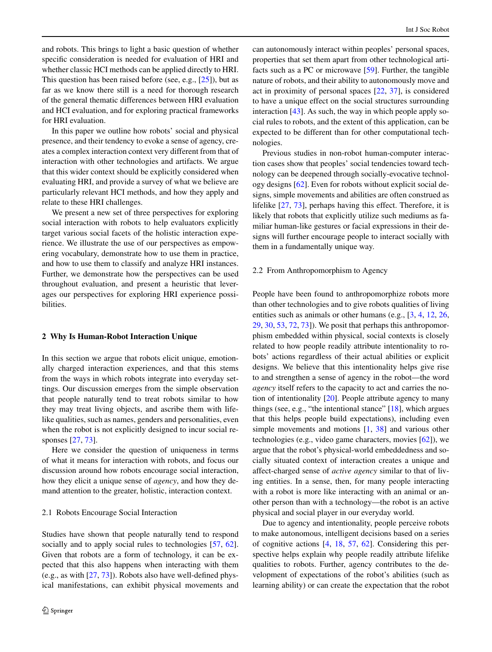and robots. This brings to light a basic question of whether specific consideration is needed for evaluation of HRI and whether classic HCI methods can be applied directly to HRI. This question has been raised before (see, e.g.,  $[25]$  $[25]$ ), but as far as we know there still is a need for thorough research of the general thematic differences between HRI evaluation and HCI evaluation, and for exploring practical frameworks for HRI evaluation.

In this paper we outline how robots' social and physical presence, and their tendency to evoke a sense of agency, creates a complex interaction context very different from that of interaction with other technologies and artifacts. We argue that this wider context should be explicitly considered when evaluating HRI, and provide a survey of what we believe are particularly relevant HCI methods, and how they apply and relate to these HRI challenges.

We present a new set of three perspectives for exploring social interaction with robots to help evaluators explicitly target various social facets of the holistic interaction experience. We illustrate the use of our perspectives as empowering vocabulary, demonstrate how to use them in practice, and how to use them to classify and analyze HRI instances. Further, we demonstrate how the perspectives can be used throughout evaluation, and present a heuristic that leverages our perspectives for exploring HRI experience possibilities.

#### **2 Why Is Human-Robot Interaction Unique**

In this section we argue that robots elicit unique, emotionally charged interaction experiences, and that this stems from the ways in which robots integrate into everyday settings. Our discussion emerges from the simple observation that people naturally tend to treat robots similar to how they may treat living objects, and ascribe them with lifelike qualities, such as names, genders and personalities, even when the robot is not explicitly designed to incur social responses [[27,](#page-12-4) [73\]](#page-14-1).

Here we consider the question of uniqueness in terms of what it means for interaction with robots, and focus our discussion around how robots encourage social interaction, how they elicit a unique sense of *agency*, and how they demand attention to the greater, holistic, interaction context.

#### 2.1 Robots Encourage Social Interaction

Studies have shown that people naturally tend to respond socially and to apply social rules to technologies [\[57](#page-13-2), [62](#page-13-3)]. Given that robots are a form of technology, it can be expected that this also happens when interacting with them (e.g., as with [[27,](#page-12-4) [73\]](#page-14-1)). Robots also have well-defined physical manifestations, can exhibit physical movements and can autonomously interact within peoples' personal spaces, properties that set them apart from other technological artifacts such as a PC or microwave [[59\]](#page-13-1). Further, the tangible nature of robots, and their ability to autonomously move and act in proximity of personal spaces [[22,](#page-12-5) [37\]](#page-12-6), is considered to have a unique effect on the social structures surrounding interaction [\[43](#page-13-4)]. As such, the way in which people apply social rules to robots, and the extent of this application, can be expected to be different than for other computational technologies.

Previous studies in non-robot human-computer interaction cases show that peoples' social tendencies toward technology can be deepened through socially-evocative technology designs [[62\]](#page-13-3). Even for robots without explicit social designs, simple movements and abilities are often construed as lifelike [\[27](#page-12-4), [73\]](#page-14-1), perhaps having this effect. Therefore, it is likely that robots that explicitly utilize such mediums as familiar human-like gestures or facial expressions in their designs will further encourage people to interact socially with them in a fundamentally unique way.

#### 2.2 From Anthropomorphism to Agency

People have been found to anthropomorphize robots more than other technologies and to give robots qualities of living entities such as animals or other humans (e.g., [\[3](#page-11-1), [4](#page-11-2), [12](#page-12-7), [26](#page-12-8), [29,](#page-12-9) [30](#page-12-10), [53](#page-13-5), [72,](#page-14-2) [73](#page-14-1)]). We posit that perhaps this anthropomorphism embedded within physical, social contexts is closely related to how people readily attribute intentionality to robots' actions regardless of their actual abilities or explicit designs. We believe that this intentionality helps give rise to and strengthen a sense of agency in the robot—the word *agency* itself refers to the capacity to act and carries the notion of intentionality [\[20](#page-12-11)]. People attribute agency to many things (see, e.g., "the intentional stance" [[18\]](#page-12-12), which argues that this helps people build expectations), including even simple movements and motions [[1,](#page-11-3) [38\]](#page-12-13) and various other technologies (e.g., video game characters, movies [[62\]](#page-13-3)), we argue that the robot's physical-world embeddedness and socially situated context of interaction creates a unique and affect-charged sense of *active agency* similar to that of living entities. In a sense, then, for many people interacting with a robot is more like interacting with an animal or another person than with a technology—the robot is an active physical and social player in our everyday world.

Due to agency and intentionality, people perceive robots to make autonomous, intelligent decisions based on a series of cognitive actions [[4,](#page-11-2) [18](#page-12-12), [57](#page-13-2), [62\]](#page-13-3). Considering this perspective helps explain why people readily attribute lifelike qualities to robots. Further, agency contributes to the development of expectations of the robot's abilities (such as learning ability) or can create the expectation that the robot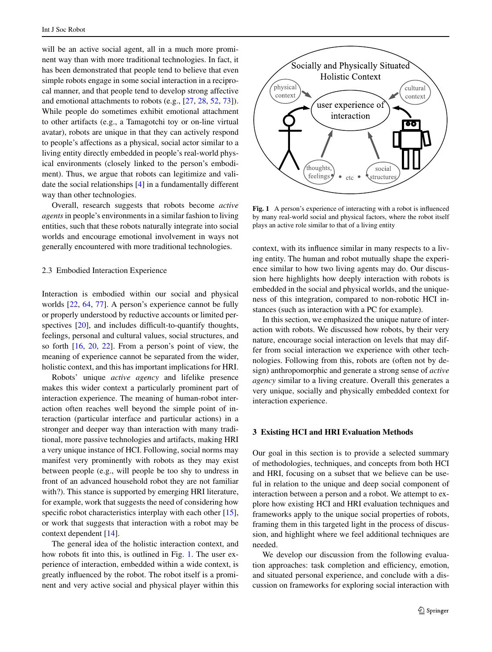will be an active social agent, all in a much more prominent way than with more traditional technologies. In fact, it has been demonstrated that people tend to believe that even simple robots engage in some social interaction in a reciprocal manner, and that people tend to develop strong affective and emotional attachments to robots (e.g., [[27,](#page-12-4) [28,](#page-12-14) [52,](#page-13-6) [73\]](#page-14-1)). While people do sometimes exhibit emotional attachment to other artifacts (e.g., a Tamagotchi toy or on-line virtual avatar), robots are unique in that they can actively respond to people's affections as a physical, social actor similar to a living entity directly embedded in people's real-world physical environments (closely linked to the person's embodiment). Thus, we argue that robots can legitimize and validate the social relationships [\[4\]](#page-11-2) in a fundamentally different way than other technologies.

<span id="page-2-1"></span>Overall, research suggests that robots become *active agents* in people's environments in a similar fashion to living entities, such that these robots naturally integrate into social worlds and encourage emotional involvement in ways not generally encountered with more traditional technologies.

# 2.3 Embodied Interaction Experience

Interaction is embodied within our social and physical worlds [\[22](#page-12-5), [64,](#page-13-7) [77\]](#page-14-3). A person's experience cannot be fully or properly understood by reductive accounts or limited perspectives [\[20](#page-12-11)], and includes difficult-to-quantify thoughts, feelings, personal and cultural values, social structures, and so forth [[16](#page-12-15), [20,](#page-12-11) [22\]](#page-12-5). From a person's point of view, the meaning of experience cannot be separated from the wider, holistic context, and this has important implications for HRI.

Robots' unique *active agency* and lifelike presence makes this wider context a particularly prominent part of interaction experience. The meaning of human-robot interaction often reaches well beyond the simple point of interaction (particular interface and particular actions) in a stronger and deeper way than interaction with many traditional, more passive technologies and artifacts, making HRI a very unique instance of HCI. Following, social norms may manifest very prominently with robots as they may exist between people (e.g., will people be too shy to undress in front of an advanced household robot they are not familiar with?). This stance is supported by emerging HRI literature, for example, work that suggests the need of considering how specific robot characteristics interplay with each other [\[15](#page-12-16)], or work that suggests that interaction with a robot may be context dependent [\[14](#page-12-17)].

The general idea of the holistic interaction context, and how robots fit into this, is outlined in Fig. [1.](#page-2-0) The user experience of interaction, embedded within a wide context, is greatly influenced by the robot. The robot itself is a prominent and very active social and physical player within this



<span id="page-2-0"></span>**Fig. 1** A person's experience of interacting with a robot is influenced by many real-world social and physical factors, where the robot itself plays an active role similar to that of a living entity

context, with its influence similar in many respects to a living entity. The human and robot mutually shape the experience similar to how two living agents may do. Our discussion here highlights how deeply interaction with robots is embedded in the social and physical worlds, and the uniqueness of this integration, compared to non-robotic HCI instances (such as interaction with a PC for example).

<span id="page-2-2"></span>In this section, we emphasized the unique nature of interaction with robots. We discussed how robots, by their very nature, encourage social interaction on levels that may differ from social interaction we experience with other technologies. Following from this, robots are (often not by design) anthropomorphic and generate a strong sense of *active agency* similar to a living creature. Overall this generates a very unique, socially and physically embedded context for interaction experience.

# **3 Existing HCI and HRI Evaluation Methods**

Our goal in this section is to provide a selected summary of methodologies, techniques, and concepts from both HCI and HRI, focusing on a subset that we believe can be useful in relation to the unique and deep social component of interaction between a person and a robot. We attempt to explore how existing HCI and HRI evaluation techniques and frameworks apply to the unique social properties of robots, framing them in this targeted light in the process of discussion, and highlight where we feel additional techniques are needed.

We develop our discussion from the following evaluation approaches: task completion and efficiency, emotion, and situated personal experience, and conclude with a discussion on frameworks for exploring social interaction with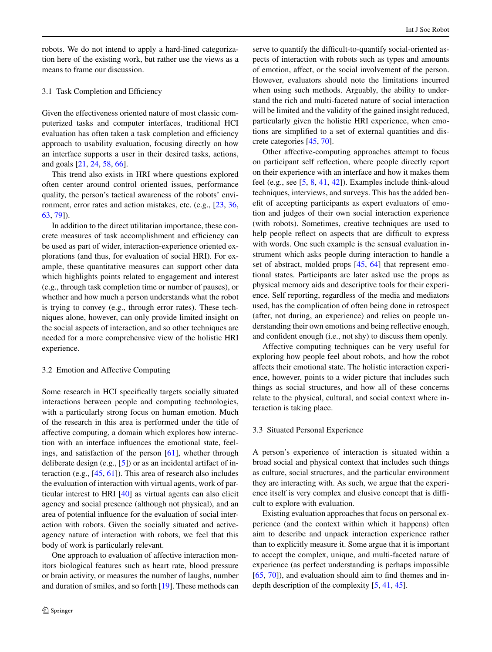robots. We do not intend to apply a hard-lined categorization here of the existing work, but rather use the views as a means to frame our discussion.

# 3.1 Task Completion and Efficiency

Given the effectiveness oriented nature of most classic computerized tasks and computer interfaces, traditional HCI evaluation has often taken a task completion and efficiency approach to usability evaluation, focusing directly on how an interface supports a user in their desired tasks, actions, and goals [[21,](#page-12-18) [24](#page-12-19), [58](#page-13-8), [66](#page-13-9)].

This trend also exists in HRI where questions explored often center around control oriented issues, performance quality, the person's tactical awareness of the robots' environment, error rates and action mistakes, etc. (e.g., [\[23](#page-12-20), [36](#page-12-21), [63,](#page-13-10) [79\]](#page-14-4)).

In addition to the direct utilitarian importance, these concrete measures of task accomplishment and efficiency can be used as part of wider, interaction-experience oriented explorations (and thus, for evaluation of social HRI). For example, these quantitative measures can support other data which highlights points related to engagement and interest (e.g., through task completion time or number of pauses), or whether and how much a person understands what the robot is trying to convey (e.g., through error rates). These techniques alone, however, can only provide limited insight on the social aspects of interaction, and so other techniques are needed for a more comprehensive view of the holistic HRI experience.

## 3.2 Emotion and Affective Computing

Some research in HCI specifically targets socially situated interactions between people and computing technologies, with a particularly strong focus on human emotion. Much of the research in this area is performed under the title of affective computing, a domain which explores how interaction with an interface influences the emotional state, feelings, and satisfaction of the person [[61\]](#page-13-11), whether through deliberate design (e.g., [\[5](#page-12-22)]) or as an incidental artifact of interaction (e.g., [\[45](#page-13-12), [61](#page-13-11)]). This area of research also includes the evaluation of interaction with virtual agents, work of particular interest to HRI [[40\]](#page-13-13) as virtual agents can also elicit agency and social presence (although not physical), and an area of potential influence for the evaluation of social interaction with robots. Given the socially situated and activeagency nature of interaction with robots, we feel that this body of work is particularly relevant.

One approach to evaluation of affective interaction monitors biological features such as heart rate, blood pressure or brain activity, or measures the number of laughs, number and duration of smiles, and so forth [\[19](#page-12-23)]. These methods can serve to quantify the difficult-to-quantify social-oriented aspects of interaction with robots such as types and amounts of emotion, affect, or the social involvement of the person. However, evaluators should note the limitations incurred when using such methods. Arguably, the ability to understand the rich and multi-faceted nature of social interaction will be limited and the validity of the gained insight reduced, particularly given the holistic HRI experience, when emotions are simplified to a set of external quantities and discrete categories [[45,](#page-13-12) [70\]](#page-14-5).

Other affective-computing approaches attempt to focus on participant self reflection, where people directly report on their experience with an interface and how it makes them feel (e.g., see [[5,](#page-12-22) [8,](#page-12-24) [41](#page-13-14), [42\]](#page-13-15)). Examples include think-aloud techniques, interviews, and surveys. This has the added benefit of accepting participants as expert evaluators of emotion and judges of their own social interaction experience (with robots). Sometimes, creative techniques are used to help people reflect on aspects that are difficult to express with words. One such example is the sensual evaluation instrument which asks people during interaction to handle a set of abstract, molded props [[45,](#page-13-12) [64\]](#page-13-7) that represent emotional states. Participants are later asked use the props as physical memory aids and descriptive tools for their experience. Self reporting, regardless of the media and mediators used, has the complication of often being done in retrospect (after, not during, an experience) and relies on people understanding their own emotions and being reflective enough, and confident enough (i.e., not shy) to discuss them openly.

Affective computing techniques can be very useful for exploring how people feel about robots, and how the robot affects their emotional state. The holistic interaction experience, however, points to a wider picture that includes such things as social structures, and how all of these concerns relate to the physical, cultural, and social context where interaction is taking place.

# 3.3 Situated Personal Experience

A person's experience of interaction is situated within a broad social and physical context that includes such things as culture, social structures, and the particular environment they are interacting with. As such, we argue that the experience itself is very complex and elusive concept that is difficult to explore with evaluation.

Existing evaluation approaches that focus on personal experience (and the context within which it happens) often aim to describe and unpack interaction experience rather than to explicitly measure it. Some argue that it is important to accept the complex, unique, and multi-faceted nature of experience (as perfect understanding is perhaps impossible [\[65](#page-13-16), [70\]](#page-14-5)), and evaluation should aim to find themes and indepth description of the complexity [\[5](#page-12-22), [41](#page-13-14), [45](#page-13-12)].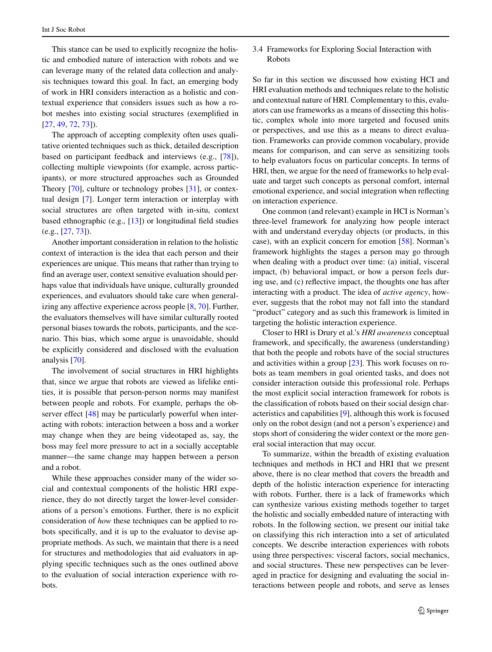This stance can be used to explicitly recognize the holistic and embodied nature of interaction with robots and we can leverage many of the related data collection and analysis techniques toward this goal. In fact, an emerging body of work in HRI considers interaction as a holistic and contextual experience that considers issues such as how a robot meshes into existing social structures (exemplified in [\[27](#page-12-4), [49](#page-13-17), [72,](#page-14-2) [73\]](#page-14-1)).

The approach of accepting complexity often uses qualitative oriented techniques such as thick, detailed description based on participant feedback and interviews (e.g., [[78\]](#page-14-6)), collecting multiple viewpoints (for example, across participants), or more structured approaches such as Grounded Theory [\[70](#page-14-5)], culture or technology probes [[31\]](#page-12-25), or contextual design [\[7](#page-12-26)]. Longer term interaction or interplay with social structures are often targeted with in-situ, context based ethnographic (e.g., [\[13](#page-12-27)]) or longitudinal field studies  $(e.g., [27, 73])$  $(e.g., [27, 73])$  $(e.g., [27, 73])$  $(e.g., [27, 73])$  $(e.g., [27, 73])$ .

Another important consideration in relation to the holistic context of interaction is the idea that each person and their experiences are unique. This means that rather than trying to find an average user, context sensitive evaluation should perhaps value that individuals have unique, culturally grounded experiences, and evaluators should take care when generalizing any affective experience across people [[8,](#page-12-24) [70\]](#page-14-5). Further, the evaluators themselves will have similar culturally rooted personal biases towards the robots, participants, and the scenario. This bias, which some argue is unavoidable, should be explicitly considered and disclosed with the evaluation analysis [[70\]](#page-14-5).

The involvement of social structures in HRI highlights that, since we argue that robots are viewed as lifelike entities, it is possible that person-person norms may manifest between people and robots. For example, perhaps the observer effect [[48\]](#page-13-18) may be particularly powerful when interacting with robots: interaction between a boss and a worker may change when they are being videotaped as, say, the boss may feel more pressure to act in a socially acceptable manner—the same change may happen between a person and a robot.

While these approaches consider many of the wider social and contextual components of the holistic HRI experience, they do not directly target the lower-level considerations of a person's emotions. Further, there is no explicit consideration of *how* these techniques can be applied to robots specifically, and it is up to the evaluator to devise appropriate methods. As such, we maintain that there is a need for structures and methodologies that aid evaluators in applying specific techniques such as the ones outlined above to the evaluation of social interaction experience with robots.

3.4 Frameworks for Exploring Social Interaction with Robots

So far in this section we discussed how existing HCI and HRI evaluation methods and techniques relate to the holistic and contextual nature of HRI. Complementary to this, evaluators can use frameworks as a means of dissecting this holistic, complex whole into more targeted and focused units or perspectives, and use this as a means to direct evaluation. Frameworks can provide common vocabulary, provide means for comparison, and can serve as sensitizing tools to help evaluators focus on particular concepts. In terms of HRI, then, we argue for the need of frameworks to help evaluate and target such concepts as personal comfort, internal emotional experience, and social integration when reflecting on interaction experience.

One common (and relevant) example in HCI is Norman's three-level framework for analyzing how people interact with and understand everyday objects (or products, in this case), with an explicit concern for emotion [[58\]](#page-13-8). Norman's framework highlights the stages a person may go through when dealing with a product over time: (a) initial, visceral impact, (b) behavioral impact, or how a person feels during use, and (c) reflective impact, the thoughts one has after interacting with a product. The idea of *active agency*, however, suggests that the robot may not fall into the standard "product" category and as such this framework is limited in targeting the holistic interaction experience.

Closer to HRI is Drury et al.'s *HRI awareness* conceptual framework, and specifically, the awareness (understanding) that both the people and robots have of the social structures and activities within a group [[23\]](#page-12-20). This work focuses on robots as team members in goal oriented tasks, and does not consider interaction outside this professional role. Perhaps the most explicit social interaction framework for robots is the classification of robots based on their social design characteristics and capabilities [\[9](#page-12-2)], although this work is focused only on the robot design (and not a person's experience) and stops short of considering the wider context or the more general social interaction that may occur.

To summarize, within the breadth of existing evaluation techniques and methods in HCI and HRI that we present above, there is no clear method that covers the breadth and depth of the holistic interaction experience for interacting with robots. Further, there is a lack of frameworks which can synthesize various existing methods together to target the holistic and socially embedded nature of interacting with robots. In the following section, we present our initial take on classifying this rich interaction into a set of articulated concepts. We describe interaction experiences with robots using three perspectives: visceral factors, social mechanics, and social structures. These new perspectives can be leveraged in practice for designing and evaluating the social interactions between people and robots, and serve as lenses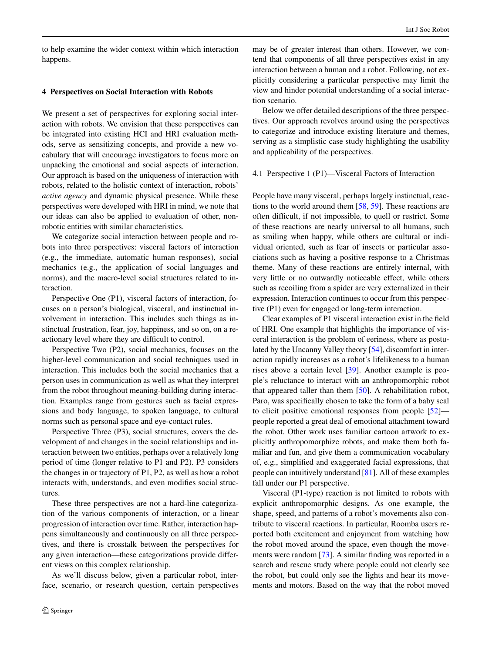to help examine the wider context within which interaction happens.

#### **4 Perspectives on Social Interaction with Robots**

We present a set of perspectives for exploring social interaction with robots. We envision that these perspectives can be integrated into existing HCI and HRI evaluation methods, serve as sensitizing concepts, and provide a new vocabulary that will encourage investigators to focus more on unpacking the emotional and social aspects of interaction. Our approach is based on the uniqueness of interaction with robots, related to the holistic context of interaction, robots' *active agency* and dynamic physical presence. While these perspectives were developed with HRI in mind, we note that our ideas can also be applied to evaluation of other, nonrobotic entities with similar characteristics.

We categorize social interaction between people and robots into three perspectives: visceral factors of interaction (e.g., the immediate, automatic human responses), social mechanics (e.g., the application of social languages and norms), and the macro-level social structures related to interaction.

Perspective One (P1), visceral factors of interaction, focuses on a person's biological, visceral, and instinctual involvement in interaction. This includes such things as instinctual frustration, fear, joy, happiness, and so on, on a reactionary level where they are difficult to control.

Perspective Two (P2), social mechanics, focuses on the higher-level communication and social techniques used in interaction. This includes both the social mechanics that a person uses in communication as well as what they interpret from the robot throughout meaning-building during interaction. Examples range from gestures such as facial expressions and body language, to spoken language, to cultural norms such as personal space and eye-contact rules.

Perspective Three (P3), social structures, covers the development of and changes in the social relationships and interaction between two entities, perhaps over a relatively long period of time (longer relative to P1 and P2). P3 considers the changes in or trajectory of P1, P2, as well as how a robot interacts with, understands, and even modifies social structures.

These three perspectives are not a hard-line categorization of the various components of interaction, or a linear progression of interaction over time. Rather, interaction happens simultaneously and continuously on all three perspectives, and there is crosstalk between the perspectives for any given interaction—these categorizations provide different views on this complex relationship.

As we'll discuss below, given a particular robot, interface, scenario, or research question, certain perspectives may be of greater interest than others. However, we contend that components of all three perspectives exist in any interaction between a human and a robot. Following, not explicitly considering a particular perspective may limit the view and hinder potential understanding of a social interaction scenario.

Below we offer detailed descriptions of the three perspectives. Our approach revolves around using the perspectives to categorize and introduce existing literature and themes, serving as a simplistic case study highlighting the usability and applicability of the perspectives.

#### 4.1 Perspective 1 (P1)—Visceral Factors of Interaction

People have many visceral, perhaps largely instinctual, reactions to the world around them [[58,](#page-13-8) [59\]](#page-13-1). These reactions are often difficult, if not impossible, to quell or restrict. Some of these reactions are nearly universal to all humans, such as smiling when happy, while others are cultural or individual oriented, such as fear of insects or particular associations such as having a positive response to a Christmas theme. Many of these reactions are entirely internal, with very little or no outwardly noticeable effect, while others such as recoiling from a spider are very externalized in their expression. Interaction continues to occur from this perspective (P1) even for engaged or long-term interaction.

Clear examples of P1 visceral interaction exist in the field of HRI. One example that highlights the importance of visceral interaction is the problem of eeriness, where as postulated by the Uncanny Valley theory [[54\]](#page-13-19), discomfort in interaction rapidly increases as a robot's lifelikeness to a human rises above a certain level [[39](#page-12-28)]. Another example is people's reluctance to interact with an anthropomorphic robot that appeared taller than them [\[50](#page-13-20)]. A rehabilitation robot, Paro, was specifically chosen to take the form of a baby seal to elicit positive emotional responses from people [[52\]](#page-13-6) people reported a great deal of emotional attachment toward the robot. Other work uses familiar cartoon artwork to explicitly anthropomorphize robots, and make them both familiar and fun, and give them a communication vocabulary of, e.g., simplified and exaggerated facial expressions, that people can intuitively understand [[81\]](#page-14-7). All of these examples fall under our P1 perspective.

Visceral (P1-type) reaction is not limited to robots with explicit anthropomorphic designs. As one example, the shape, speed, and patterns of a robot's movements also contribute to visceral reactions. In particular, Roomba users reported both excitement and enjoyment from watching how the robot moved around the space, even though the movements were random [\[73](#page-14-1)]. A similar finding was reported in a search and rescue study where people could not clearly see the robot, but could only see the lights and hear its movements and motors. Based on the way that the robot moved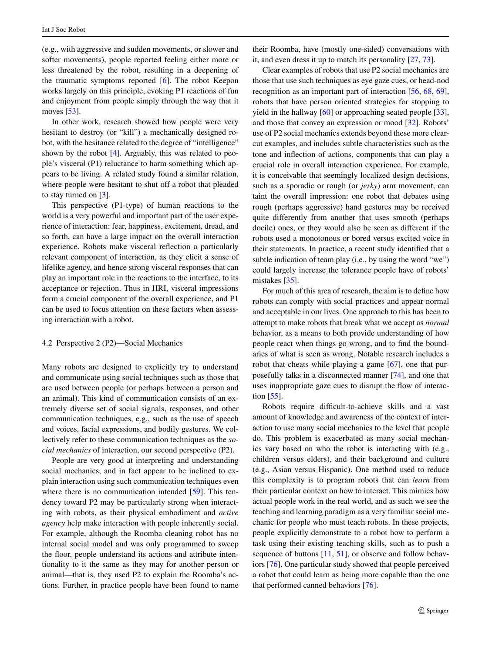(e.g., with aggressive and sudden movements, or slower and softer movements), people reported feeling either more or less threatened by the robot, resulting in a deepening of the traumatic symptoms reported [[6\]](#page-12-29). The robot Keepon works largely on this principle, evoking P1 reactions of fun and enjoyment from people simply through the way that it moves [\[53](#page-13-5)].

In other work, research showed how people were very hesitant to destroy (or "kill") a mechanically designed robot, with the hesitance related to the degree of "intelligence" shown by the robot [\[4](#page-11-2)]. Arguably, this was related to people's visceral (P1) reluctance to harm something which appears to be living. A related study found a similar relation, where people were hesitant to shut off a robot that pleaded to stay turned on [\[3](#page-11-1)].

This perspective (P1-type) of human reactions to the world is a very powerful and important part of the user experience of interaction: fear, happiness, excitement, dread, and so forth, can have a large impact on the overall interaction experience. Robots make visceral reflection a particularly relevant component of interaction, as they elicit a sense of lifelike agency, and hence strong visceral responses that can play an important role in the reactions to the interface, to its acceptance or rejection. Thus in HRI, visceral impressions form a crucial component of the overall experience, and P1 can be used to focus attention on these factors when assessing interaction with a robot.

#### 4.2 Perspective 2 (P2)—Social Mechanics

Many robots are designed to explicitly try to understand and communicate using social techniques such as those that are used between people (or perhaps between a person and an animal). This kind of communication consists of an extremely diverse set of social signals, responses, and other communication techniques, e.g., such as the use of speech and voices, facial expressions, and bodily gestures. We collectively refer to these communication techniques as the *social mechanics* of interaction, our second perspective (P2).

People are very good at interpreting and understanding social mechanics, and in fact appear to be inclined to explain interaction using such communication techniques even where there is no communication intended [[59\]](#page-13-1). This tendency toward P2 may be particularly strong when interacting with robots, as their physical embodiment and *active agency* help make interaction with people inherently social. For example, although the Roomba cleaning robot has no internal social model and was only programmed to sweep the floor, people understand its actions and attribute intentionality to it the same as they may for another person or animal—that is, they used P2 to explain the Roomba's actions. Further, in practice people have been found to name their Roomba, have (mostly one-sided) conversations with it, and even dress it up to match its personality [[27,](#page-12-4) [73\]](#page-14-1).

Clear examples of robots that use P2 social mechanics are those that use such techniques as eye gaze cues, or head-nod recognition as an important part of interaction [[56,](#page-13-21) [68,](#page-13-22) [69](#page-13-23)], robots that have person oriented strategies for stopping to yield in the hallway [\[60](#page-13-24)] or approaching seated people [\[33](#page-12-30)], and those that convey an expression or mood [[32\]](#page-12-31). Robots' use of P2 social mechanics extends beyond these more clearcut examples, and includes subtle characteristics such as the tone and inflection of actions, components that can play a crucial role in overall interaction experience. For example, it is conceivable that seemingly localized design decisions, such as a sporadic or rough (or *jerky*) arm movement, can taint the overall impression: one robot that debates using rough (perhaps aggressive) hand gestures may be received quite differently from another that uses smooth (perhaps docile) ones, or they would also be seen as different if the robots used a monotonous or bored versus excited voice in their statements. In practice, a recent study identified that a subtle indication of team play (i.e., by using the word "we") could largely increase the tolerance people have of robots' mistakes [\[35](#page-12-32)].

For much of this area of research, the aim is to define how robots can comply with social practices and appear normal and acceptable in our lives. One approach to this has been to attempt to make robots that break what we accept as *normal* behavior, as a means to both provide understanding of how people react when things go wrong, and to find the boundaries of what is seen as wrong. Notable research includes a robot that cheats while playing a game [\[67](#page-13-25)], one that purposefully talks in a disconnected manner [\[74\]](#page-14-8), and one that uses inappropriate gaze cues to disrupt the flow of interaction [\[55](#page-13-26)].

Robots require difficult-to-achieve skills and a vast amount of knowledge and awareness of the context of interaction to use many social mechanics to the level that people do. This problem is exacerbated as many social mechanics vary based on who the robot is interacting with (e.g., children versus elders), and their background and culture (e.g., Asian versus Hispanic). One method used to reduce this complexity is to program robots that can *learn* from their particular context on how to interact. This mimics how actual people work in the real world, and as such we see the teaching and learning paradigm as a very familiar social mechanic for people who must teach robots. In these projects, people explicitly demonstrate to a robot how to perform a task using their existing teaching skills, such as to push a sequence of buttons [[11,](#page-12-33) [51](#page-13-27)], or observe and follow behaviors [\[76](#page-14-9)]. One particular study showed that people perceived a robot that could learn as being more capable than the one that performed canned behaviors [\[76](#page-14-9)].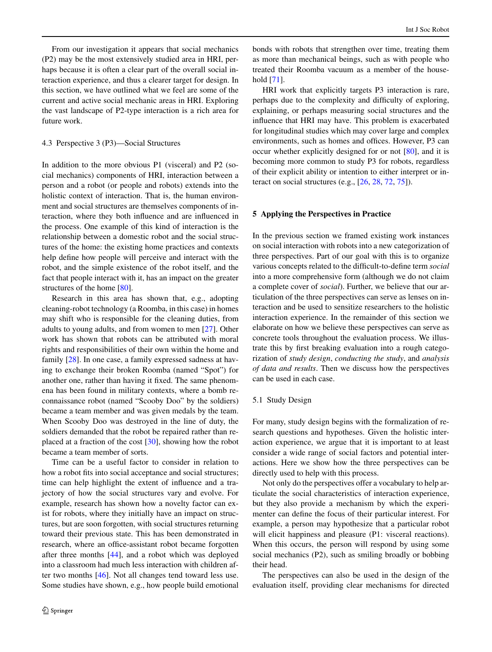From our investigation it appears that social mechanics (P2) may be the most extensively studied area in HRI, perhaps because it is often a clear part of the overall social interaction experience, and thus a clearer target for design. In this section, we have outlined what we feel are some of the current and active social mechanic areas in HRI. Exploring the vast landscape of P2-type interaction is a rich area for future work.

# 4.3 Perspective 3 (P3)—Social Structures

In addition to the more obvious P1 (visceral) and P2 (social mechanics) components of HRI, interaction between a person and a robot (or people and robots) extends into the holistic context of interaction. That is, the human environment and social structures are themselves components of interaction, where they both influence and are influenced in the process. One example of this kind of interaction is the relationship between a domestic robot and the social structures of the home: the existing home practices and contexts help define how people will perceive and interact with the robot, and the simple existence of the robot itself, and the fact that people interact with it, has an impact on the greater structures of the home [\[80](#page-14-0)].

Research in this area has shown that, e.g., adopting cleaning-robot technology (a Roomba, in this case) in homes may shift who is responsible for the cleaning duties, from adults to young adults, and from women to men [[27\]](#page-12-4). Other work has shown that robots can be attributed with moral rights and responsibilities of their own within the home and family [[28\]](#page-12-14). In one case, a family expressed sadness at having to exchange their broken Roomba (named "Spot") for another one, rather than having it fixed. The same phenomena has been found in military contexts, where a bomb reconnaissance robot (named "Scooby Doo" by the soldiers) became a team member and was given medals by the team. When Scooby Doo was destroyed in the line of duty, the soldiers demanded that the robot be repaired rather than replaced at a fraction of the cost [[30](#page-12-10)], showing how the robot became a team member of sorts.

Time can be a useful factor to consider in relation to how a robot fits into social acceptance and social structures; time can help highlight the extent of influence and a trajectory of how the social structures vary and evolve. For example, research has shown how a novelty factor can exist for robots, where they initially have an impact on structures, but are soon forgotten, with social structures returning toward their previous state. This has been demonstrated in research, where an office-assistant robot became forgotten after three months [\[44](#page-13-28)], and a robot which was deployed into a classroom had much less interaction with children after two months [\[46](#page-13-29)]. Not all changes tend toward less use. Some studies have shown, e.g., how people build emotional bonds with robots that strengthen over time, treating them as more than mechanical beings, such as with people who treated their Roomba vacuum as a member of the household [\[71](#page-14-10)].

HRI work that explicitly targets P3 interaction is rare, perhaps due to the complexity and difficulty of exploring, explaining, or perhaps measuring social structures and the influence that HRI may have. This problem is exacerbated for longitudinal studies which may cover large and complex environments, such as homes and offices. However, P3 can occur whether explicitly designed for or not [[80\]](#page-14-0), and it is becoming more common to study P3 for robots, regardless of their explicit ability or intention to either interpret or interact on social structures (e.g., [[26,](#page-12-8) [28,](#page-12-14) [72,](#page-14-2) [75\]](#page-14-11)).

#### **5 Applying the Perspectives in Practice**

In the previous section we framed existing work instances on social interaction with robots into a new categorization of three perspectives. Part of our goal with this is to organize various concepts related to the difficult-to-define term *social* into a more comprehensive form (although we do not claim a complete cover of *social*). Further, we believe that our articulation of the three perspectives can serve as lenses on interaction and be used to sensitize researchers to the holistic interaction experience. In the remainder of this section we elaborate on how we believe these perspectives can serve as concrete tools throughout the evaluation process. We illustrate this by first breaking evaluation into a rough categorization of *study design*, *conducting the study*, and *analysis of data and results*. Then we discuss how the perspectives can be used in each case.

## <span id="page-7-0"></span>5.1 Study Design

For many, study design begins with the formalization of research questions and hypotheses. Given the holistic interaction experience, we argue that it is important to at least consider a wide range of social factors and potential interactions. Here we show how the three perspectives can be directly used to help with this process.

Not only do the perspectives offer a vocabulary to help articulate the social characteristics of interaction experience, but they also provide a mechanism by which the experimenter can define the focus of their particular interest. For example, a person may hypothesize that a particular robot will elicit happiness and pleasure (P1: visceral reactions). When this occurs, the person will respond by using some social mechanics (P2), such as smiling broadly or bobbing their head.

The perspectives can also be used in the design of the evaluation itself, providing clear mechanisms for directed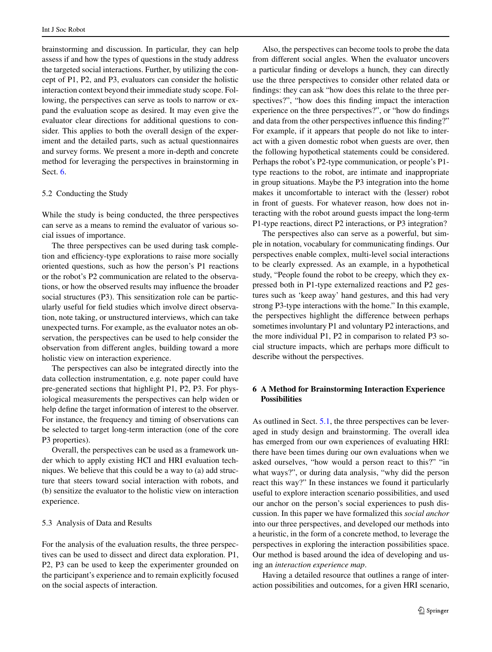brainstorming and discussion. In particular, they can help assess if and how the types of questions in the study address the targeted social interactions. Further, by utilizing the concept of P1, P2, and P3, evaluators can consider the holistic interaction context beyond their immediate study scope. Following, the perspectives can serve as tools to narrow or expand the evaluation scope as desired. It may even give the evaluator clear directions for additional questions to consider. This applies to both the overall design of the experiment and the detailed parts, such as actual questionnaires and survey forms. We present a more in-depth and concrete method for leveraging the perspectives in brainstorming in Sect. [6.](#page-8-0)

# 5.2 Conducting the Study

While the study is being conducted, the three perspectives can serve as a means to remind the evaluator of various social issues of importance.

The three perspectives can be used during task completion and efficiency-type explorations to raise more socially oriented questions, such as how the person's P1 reactions or the robot's P2 communication are related to the observations, or how the observed results may influence the broader social structures (P3). This sensitization role can be particularly useful for field studies which involve direct observation, note taking, or unstructured interviews, which can take unexpected turns. For example, as the evaluator notes an observation, the perspectives can be used to help consider the observation from different angles, building toward a more holistic view on interaction experience.

The perspectives can also be integrated directly into the data collection instrumentation, e.g. note paper could have pre-generated sections that highlight P1, P2, P3. For physiological measurements the perspectives can help widen or help define the target information of interest to the observer. For instance, the frequency and timing of observations can be selected to target long-term interaction (one of the core P3 properties).

Overall, the perspectives can be used as a framework under which to apply existing HCI and HRI evaluation techniques. We believe that this could be a way to (a) add structure that steers toward social interaction with robots, and (b) sensitize the evaluator to the holistic view on interaction experience.

#### 5.3 Analysis of Data and Results

For the analysis of the evaluation results, the three perspectives can be used to dissect and direct data exploration. P1, P2, P3 can be used to keep the experimenter grounded on the participant's experience and to remain explicitly focused on the social aspects of interaction.

Also, the perspectives can become tools to probe the data from different social angles. When the evaluator uncovers a particular finding or develops a hunch, they can directly use the three perspectives to consider other related data or findings: they can ask "how does this relate to the three perspectives?", "how does this finding impact the interaction experience on the three perspectives?", or "how do findings and data from the other perspectives influence this finding?" For example, if it appears that people do not like to interact with a given domestic robot when guests are over, then the following hypothetical statements could be considered. Perhaps the robot's P2-type communication, or people's P1 type reactions to the robot, are intimate and inappropriate in group situations. Maybe the P3 integration into the home makes it uncomfortable to interact with the (lesser) robot in front of guests. For whatever reason, how does not interacting with the robot around guests impact the long-term P1-type reactions, direct P2 interactions, or P3 integration?

The perspectives also can serve as a powerful, but simple in notation, vocabulary for communicating findings. Our perspectives enable complex, multi-level social interactions to be clearly expressed. As an example, in a hypothetical study, "People found the robot to be creepy, which they expressed both in P1-type externalized reactions and P2 gestures such as 'keep away' hand gestures, and this had very strong P3-type interactions with the home." In this example, the perspectives highlight the difference between perhaps sometimes involuntary P1 and voluntary P2 interactions, and the more individual P1, P2 in comparison to related P3 social structure impacts, which are perhaps more difficult to describe without the perspectives.

# <span id="page-8-0"></span>**6 A Method for Brainstorming Interaction Experience Possibilities**

As outlined in Sect. [5.1,](#page-7-0) the three perspectives can be leveraged in study design and brainstorming. The overall idea has emerged from our own experiences of evaluating HRI: there have been times during our own evaluations when we asked ourselves, "how would a person react to this?" "in what ways?", or during data analysis, "why did the person react this way?" In these instances we found it particularly useful to explore interaction scenario possibilities, and used our anchor on the person's social experiences to push discussion. In this paper we have formalized this *social anchor* into our three perspectives, and developed our methods into a heuristic, in the form of a concrete method, to leverage the perspectives in exploring the interaction possibilities space. Our method is based around the idea of developing and using an *interaction experience map*.

Having a detailed resource that outlines a range of interaction possibilities and outcomes, for a given HRI scenario,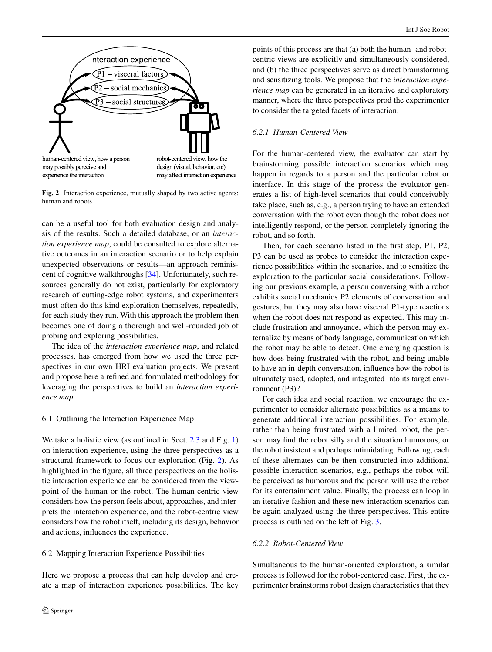

<span id="page-9-0"></span>**Fig. 2** Interaction experience, mutually shaped by two active agents: human and robots

can be a useful tool for both evaluation design and analysis of the results. Such a detailed database, or an *interaction experience map*, could be consulted to explore alternative outcomes in an interaction scenario or to help explain unexpected observations or results—an approach reminiscent of cognitive walkthroughs [\[34](#page-12-34)]. Unfortunately, such resources generally do not exist, particularly for exploratory research of cutting-edge robot systems, and experimenters must often do this kind exploration themselves, repeatedly, for each study they run. With this approach the problem then becomes one of doing a thorough and well-rounded job of probing and exploring possibilities.

The idea of the *interaction experience map*, and related processes, has emerged from how we used the three perspectives in our own HRI evaluation projects. We present and propose here a refined and formulated methodology for leveraging the perspectives to build an *interaction experience map*.

#### 6.1 Outlining the Interaction Experience Map

We take a holistic view (as outlined in Sect. [2.3](#page-2-1) and Fig. [1\)](#page-2-0) on interaction experience, using the three perspectives as a structural framework to focus our exploration (Fig. [2\)](#page-9-0). As highlighted in the figure, all three perspectives on the holistic interaction experience can be considered from the viewpoint of the human or the robot. The human-centric view considers how the person feels about, approaches, and interprets the interaction experience, and the robot-centric view considers how the robot itself, including its design, behavior and actions, influences the experience.

#### 6.2 Mapping Interaction Experience Possibilities

Here we propose a process that can help develop and create a map of interaction experience possibilities. The key points of this process are that (a) both the human- and robotcentric views are explicitly and simultaneously considered, and (b) the three perspectives serve as direct brainstorming and sensitizing tools. We propose that the *interaction experience map* can be generated in an iterative and exploratory manner, where the three perspectives prod the experimenter to consider the targeted facets of interaction.

# *6.2.1 Human-Centered View*

For the human-centered view, the evaluator can start by brainstorming possible interaction scenarios which may happen in regards to a person and the particular robot or interface. In this stage of the process the evaluator generates a list of high-level scenarios that could conceivably take place, such as, e.g., a person trying to have an extended conversation with the robot even though the robot does not intelligently respond, or the person completely ignoring the robot, and so forth.

Then, for each scenario listed in the first step, P1, P2, P3 can be used as probes to consider the interaction experience possibilities within the scenarios, and to sensitize the exploration to the particular social considerations. Following our previous example, a person conversing with a robot exhibits social mechanics P2 elements of conversation and gestures, but they may also have visceral P1-type reactions when the robot does not respond as expected. This may include frustration and annoyance, which the person may externalize by means of body language, communication which the robot may be able to detect. One emerging question is how does being frustrated with the robot, and being unable to have an in-depth conversation, influence how the robot is ultimately used, adopted, and integrated into its target environment (P3)?

For each idea and social reaction, we encourage the experimenter to consider alternate possibilities as a means to generate additional interaction possibilities. For example, rather than being frustrated with a limited robot, the person may find the robot silly and the situation humorous, or the robot insistent and perhaps intimidating. Following, each of these alternates can be then constructed into additional possible interaction scenarios, e.g., perhaps the robot will be perceived as humorous and the person will use the robot for its entertainment value. Finally, the process can loop in an iterative fashion and these new interaction scenarios can be again analyzed using the three perspectives. This entire process is outlined on the left of Fig. [3](#page-10-0).

# *6.2.2 Robot-Centered View*

Simultaneous to the human-oriented exploration, a similar process is followed for the robot-centered case. First, the experimenter brainstorms robot design characteristics that they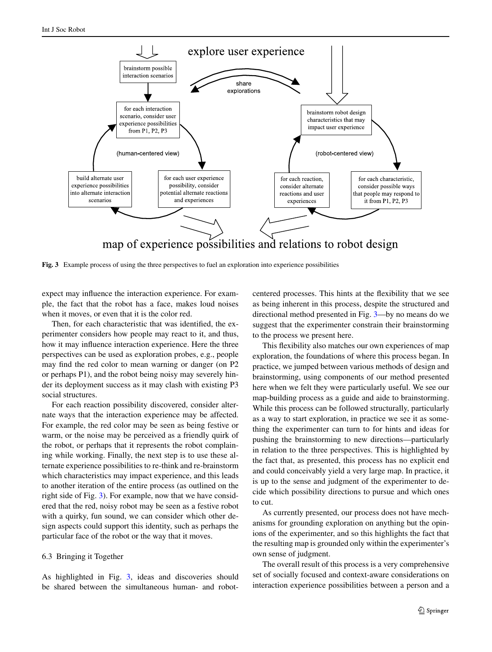

<span id="page-10-0"></span>**Fig. 3** Example process of using the three perspectives to fuel an exploration into experience possibilities

expect may influence the interaction experience. For example, the fact that the robot has a face, makes loud noises when it moves, or even that it is the color red.

Then, for each characteristic that was identified, the experimenter considers how people may react to it, and thus, how it may influence interaction experience. Here the three perspectives can be used as exploration probes, e.g., people may find the red color to mean warning or danger (on P2 or perhaps P1), and the robot being noisy may severely hinder its deployment success as it may clash with existing P3 social structures.

For each reaction possibility discovered, consider alternate ways that the interaction experience may be affected. For example, the red color may be seen as being festive or warm, or the noise may be perceived as a friendly quirk of the robot, or perhaps that it represents the robot complaining while working. Finally, the next step is to use these alternate experience possibilities to re-think and re-brainstorm which characteristics may impact experience, and this leads to another iteration of the entire process (as outlined on the right side of Fig. [3\)](#page-10-0). For example, now that we have considered that the red, noisy robot may be seen as a festive robot with a quirky, fun sound, we can consider which other design aspects could support this identity, such as perhaps the particular face of the robot or the way that it moves.

# 6.3 Bringing it Together

As highlighted in Fig. [3](#page-10-0), ideas and discoveries should be shared between the simultaneous human- and robotcentered processes. This hints at the flexibility that we see as being inherent in this process, despite the structured and directional method presented in Fig. [3](#page-10-0)—by no means do we suggest that the experimenter constrain their brainstorming to the process we present here.

This flexibility also matches our own experiences of map exploration, the foundations of where this process began. In practice, we jumped between various methods of design and brainstorming, using components of our method presented here when we felt they were particularly useful. We see our map-building process as a guide and aide to brainstorming. While this process can be followed structurally, particularly as a way to start exploration, in practice we see it as something the experimenter can turn to for hints and ideas for pushing the brainstorming to new directions—particularly in relation to the three perspectives. This is highlighted by the fact that, as presented, this process has no explicit end and could conceivably yield a very large map. In practice, it is up to the sense and judgment of the experimenter to decide which possibility directions to pursue and which ones to cut.

As currently presented, our process does not have mechanisms for grounding exploration on anything but the opinions of the experimenter, and so this highlights the fact that the resulting map is grounded only within the experimenter's own sense of judgment.

The overall result of this process is a very comprehensive set of socially focused and context-aware considerations on interaction experience possibilities between a person and a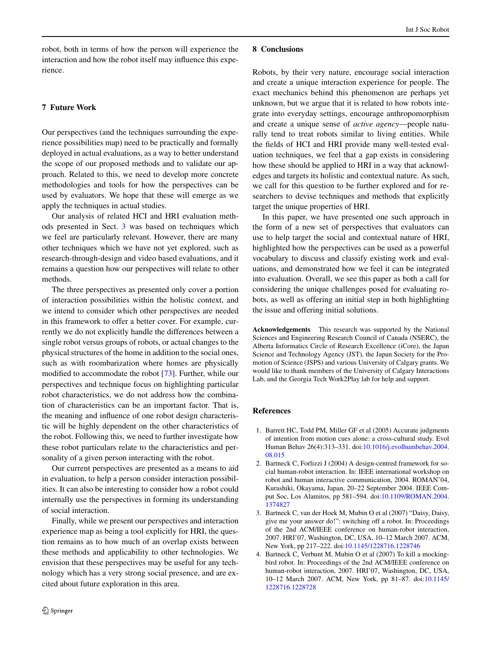robot, both in terms of how the person will experience the interaction and how the robot itself may influence this experience.

# **7 Future Work**

Our perspectives (and the techniques surrounding the experience possibilities map) need to be practically and formally deployed in actual evaluations, as a way to better understand the scope of our proposed methods and to validate our approach. Related to this, we need to develop more concrete methodologies and tools for how the perspectives can be used by evaluators. We hope that these will emerge as we apply the techniques in actual studies.

Our analysis of related HCI and HRI evaluation methods presented in Sect. [3](#page-2-2) was based on techniques which we feel are particularly relevant. However, there are many other techniques which we have not yet explored, such as research-through-design and video based evaluations, and it remains a question how our perspectives will relate to other methods.

The three perspectives as presented only cover a portion of interaction possibilities within the holistic context, and we intend to consider which other perspectives are needed in this framework to offer a better cover. For example, currently we do not explicitly handle the differences between a single robot versus groups of robots, or actual changes to the physical structures of the home in addition to the social ones, such as with roombarization where homes are physically modified to accommodate the robot [[73\]](#page-14-1). Further, while our perspectives and technique focus on highlighting particular robot characteristics, we do not address how the combination of characteristics can be an important factor. That is, the meaning and influence of one robot design characteristic will be highly dependent on the other characteristics of the robot. Following this, we need to further investigate how these robot particulars relate to the characteristics and personality of a given person interacting with the robot.

Our current perspectives are presented as a means to aid in evaluation, to help a person consider interaction possibilities. It can also be interesting to consider how a robot could internally use the perspectives in forming its understanding of social interaction.

Finally, while we present our perspectives and interaction experience map as being a tool explicitly for HRI, the question remains as to how much of an overlap exists between these methods and applicability to other technologies. We envision that these perspectives may be useful for any technology which has a very strong social presence, and are excited about future exploration in this area.

#### **8 Conclusions**

Robots, by their very nature, encourage social interaction and create a unique interaction experience for people. The exact mechanics behind this phenomenon are perhaps yet unknown, but we argue that it is related to how robots integrate into everyday settings, encourage anthropomorphism and create a unique sense of *active agency*—people naturally tend to treat robots similar to living entities. While the fields of HCI and HRI provide many well-tested evaluation techniques, we feel that a gap exists in considering how these should be applied to HRI in a way that acknowledges and targets its holistic and contextual nature. As such, we call for this question to be further explored and for researchers to devise techniques and methods that explicitly target the unique properties of HRI.

In this paper, we have presented one such approach in the form of a new set of perspectives that evaluators can use to help target the social and contextual nature of HRI, highlighted how the perspectives can be used as a powerful vocabulary to discuss and classify existing work and evaluations, and demonstrated how we feel it can be integrated into evaluation. Overall, we see this paper as both a call for considering the unique challenges posed for evaluating robots, as well as offering an initial step in both highlighting the issue and offering initial solutions.

<span id="page-11-3"></span>**Acknowledgements** This research was supported by the National Sciences and Engineering Research Council of Canada (NSERC), the Alberta Informatics Circle of Research Excellence (iCore), the Japan Science and Technology Agency (JST), the Japan Society for the Promotion of Science (JSPS) and various University of Calgary grants. We would like to thank members of the University of Calgary Interactions Lab, and the Georgia Tech Work2Play lab for help and support.

#### <span id="page-11-0"></span>**References**

- <span id="page-11-1"></span>1. Barrett HC, Todd PM, Miller GF et al (2005) Accurate judgments of intention from motion cues alone: a cross-cultural study. Evol Human Behav 26(4):313–331. doi:[10.1016/j.evolhumbehav.2004.](http://dx.doi.org/10.1016/j.evolhumbehav.2004.08.015) [08.015](http://dx.doi.org/10.1016/j.evolhumbehav.2004.08.015)
- <span id="page-11-2"></span>2. Bartneck C, Forlizzi J (2004) A design-centred framework for social human-robot interaction. In: IEEE international workshop on robot and human interactive communication, 2004. ROMAN'04, Kurashiki, Okayama, Japan, 20–22 September 2004. IEEE Comput Soc, Los Alamitos, pp 581–594. doi:[10.1109/ROMAN.2004.](http://dx.doi.org/10.1109/ROMAN.2004.1374827) [1374827](http://dx.doi.org/10.1109/ROMAN.2004.1374827)
- 3. Bartneck C, van der Hoek M, Mubin O et al (2007) "Daisy, Daisy, give me your answer do!": switching off a robot. In: Proceedings of the 2nd ACM/IEEE conference on human-robot interaction, 2007. HRI'07, Washington, DC, USA, 10–12 March 2007. ACM, New York, pp 217–222. doi:[10.1145/1228716.1228746](http://dx.doi.org/10.1145/1228716.1228746)
- 4. Bartneck C, Verbunt M, Mubin O et al (2007) To kill a mockingbird robot. In: Proceedings of the 2nd ACM/IEEE conference on human-robot interaction, 2007. HRI'07, Washington, DC, USA, 10–12 March 2007. ACM, New York, pp 81–87. doi[:10.1145/](http://dx.doi.org/10.1145/1228716.1228728) [1228716.1228728](http://dx.doi.org/10.1145/1228716.1228728)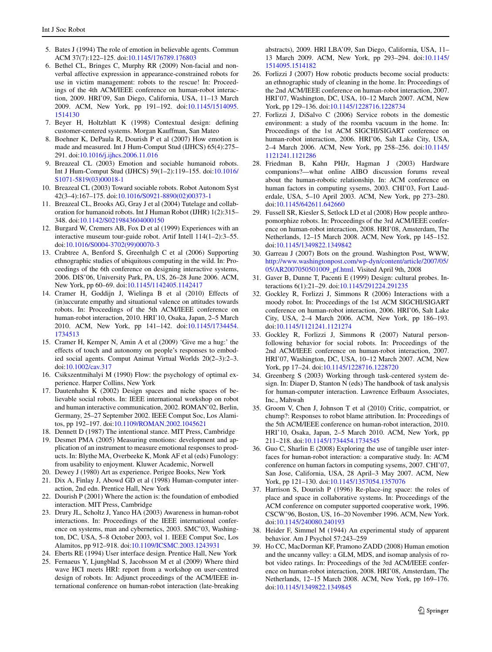- <span id="page-12-29"></span><span id="page-12-26"></span><span id="page-12-22"></span>5. Bates J (1994) The role of emotion in believable agents. Commun ACM 37(7):122–125. doi[:10.1145/176789.176803](http://dx.doi.org/10.1145/176789.176803)
- <span id="page-12-24"></span><span id="page-12-2"></span>6. Bethel CL, Bringes C, Murphy RR (2009) Non-facial and nonverbal affective expression in appearance-constrained robots for use in victim management: robots to the rescue! In: Proceedings of the 4th ACM/IEEE conference on human-robot interaction, 2009. HRI'09, San Diego, California, USA, 11–13 March 2009. ACM, New York, pp 191–192. doi[:10.1145/1514095.](http://dx.doi.org/10.1145/1514095.1514130) [1514130](http://dx.doi.org/10.1145/1514095.1514130)
- <span id="page-12-33"></span><span id="page-12-0"></span>7. Beyer H, Holtzblatt K (1998) Contextual design: defining customer-centered systems. Morgan Kauffman, San Mateo
- 8. Boehner K, DePaula R, Dourish P et al (2007) How emotion is made and measured. Int J Hum-Comput Stud (IJHCS) 65(4):275– 291. doi[:10.1016/j.ijhcs.2006.11.016](http://dx.doi.org/10.1016/j.ijhcs.2006.11.016)
- <span id="page-12-7"></span>9. Breazeal CL (2003) Emotion and sociable humanoid robots. Int J Hum-Comput Stud (IJHCS) 59(1–2):119–155. doi[:10.1016/](http://dx.doi.org/10.1016/S1071-5819(03)00018-1) [S1071-5819\(03\)00018-1](http://dx.doi.org/10.1016/S1071-5819(03)00018-1)
- <span id="page-12-27"></span>10. Breazeal CL (2003) Toward sociable robots. Robot Autonom Syst 42(3–4):167–175. doi:[10.1016/S0921-8890\(02\)00373-1](http://dx.doi.org/10.1016/S0921-8890(02)00373-1)
- 11. Breazeal CL, Brooks AG, Gray J et al (2004) Tutelage and collaboration for humanoid robots. Int J Human Robot (IJHR) 1(2):315– 348. doi[:10.1142/S0219843604000150](http://dx.doi.org/10.1142/S0219843604000150)
- <span id="page-12-17"></span>12. Burgard W, Cremers AB, Fox D et al (1999) Experiences with an interactive museum tour-guide robot. Artif Intell 114(1–2):3–55. doi:[10.1016/S0004-3702\(99\)00070-3](http://dx.doi.org/10.1016/S0004-3702(99)00070-3)
- <span id="page-12-16"></span>13. Crabtree A, Benford S, Greenhalgh C et al (2006) Supporting ethnographic studies of ubiquitous computing in the wild. In: Proceedings of the 6th conference on designing interactive systems, 2006. DIS'06, University Park, PA, US, 26–28 June 2006. ACM, New York, pp 60–69. doi[:10.1145/1142405.1142417](http://dx.doi.org/10.1145/1142405.1142417)
- <span id="page-12-15"></span><span id="page-12-1"></span>14. Cramer H, Goddijn J, Wielinga B et al (2010) Effects of (in)accurate empathy and situational valence on attitudes towards robots. In: Proceedings of the 5th ACM/IEEE conference on human-robot interaction, 2010. HRI'10, Osaka, Japan, 2–5 March 2010. ACM, New York, pp 141–142. doi[:10.1145/1734454.](http://dx.doi.org/10.1145/1734454.1734513) [1734513](http://dx.doi.org/10.1145/1734454.1734513)
- <span id="page-12-12"></span>15. Cramer H, Kemper N, Amin A et al (2009) 'Give me a hug:' the effects of touch and autonomy on people's responses to embodied social agents. Comput Animat Virtual Worlds 20(2–3):2–3. doi:[10.1002/cav.317](http://dx.doi.org/10.1002/cav.317)
- <span id="page-12-23"></span>16. Csikszentmihalyi M (1990) Flow: the psychology of optimal experience. Harper Collins, New York
- <span id="page-12-18"></span><span id="page-12-11"></span>17. Dautenhahn K (2002) Design spaces and niche spaces of believable social robots. In: IEEE international workshop on robot and human interactive communication, 2002. ROMAN'02, Berlin, Germany, 25–27 September 2002. IEEE Comput Soc, Los Alamitos, pp 192–197. doi[:10.1109/ROMAN.2002.1045621](http://dx.doi.org/10.1109/ROMAN.2002.1045621)
- <span id="page-12-5"></span>18. Dennett D (1987) The intentional stance. MIT Press, Cambridge
- <span id="page-12-20"></span>19. Desmet PMA (2005) Measuring emotions: development and application of an instrument to measure emotional responses to products. In: Blythe MA, Overbeeke K, Monk AF et al (eds) Funology: from usability to enjoyment. Kluwer Academic, Norwell
- 20. Dewey J (1980) Art as experience. Perigee Books, New York
- <span id="page-12-19"></span><span id="page-12-3"></span>21. Dix A, Finlay J, Abowd GD et al (1998) Human-computer interaction, 2nd edn. Prentice Hall, New York
- 22. Dourish P (2001) Where the action is: the foundation of embodied interaction. MIT Press, Cambridge
- 23. Drury JL, Scholtz J, Yanco HA (2003) Awareness in human-robot interactions. In: Proceedings of the IEEE international conference on systems, man and cybernetics, 2003. SMC'03, Washington, DC, USA, 5–8 October 2003, vol 1. IEEE Comput Soc, Los Alamitos, pp 912–918. doi[:10.1109/ICSMC.2003.1243931](http://dx.doi.org/10.1109/ICSMC.2003.1243931)
- 24. Eberts RE (1994) User interface design. Prentice Hall, New York
- 25. Fernaeus Y, Ljungblad S, Jacobsson M et al (2009) Where third wave HCI meets HRI: report from a workshop on user-centred design of robots. In: Adjunct proceedings of the ACM/IEEE international conference on human-robot interaction (late-breaking

<span id="page-12-8"></span>abstracts), 2009. HRI LBA'09, San Diego, California, USA, 11– 13 March 2009. ACM, New York, pp 293–294. doi[:10.1145/](http://dx.doi.org/10.1145/1514095.1514182) [1514095.1514182](http://dx.doi.org/10.1145/1514095.1514182)

- <span id="page-12-14"></span><span id="page-12-4"></span>26. Forlizzi J (2007) How robotic products become social products: an ethnographic study of cleaning in the home. In: Proceedings of the 2nd ACM/IEEE conference on human-robot interaction, 2007. HRI'07, Washington, DC, USA, 10–12 March 2007. ACM, New York, pp 129–136. doi:[10.1145/1228716.1228734](http://dx.doi.org/10.1145/1228716.1228734)
- <span id="page-12-9"></span>27. Forlizzi J, DiSalvo C (2006) Service robots in the domestic environment: a study of the roomba vacuum in the home. In: Proceedings of the 1st ACM SIGCHI/SIGART conference on human-robot interaction, 2006. HRI'06, Salt Lake City, USA, 2–4 March 2006. ACM, New York, pp 258–256. doi[:10.1145/](http://dx.doi.org/10.1145/1121241.1121286) [1121241.1121286](http://dx.doi.org/10.1145/1121241.1121286)
- <span id="page-12-10"></span>28. Friedman B, Kahn PHJr, Hagman J (2003) Hardware companions?—what online AIBO discussion forums reveal about the human-robotic relationship. In: ACM conference on human factors in computing sysems, 2003. CHI'03, Fort Lauderdale, USA, 5–10 April 2003. ACM, New York, pp 273–280. doi:[10.1145/642611.642660](http://dx.doi.org/10.1145/642611.642660)
- <span id="page-12-31"></span><span id="page-12-25"></span>29. Fussell SR, Kiesler S, Setlock LD et al (2008) How people anthropomorphize robots. In: Proceedings of the 3rd ACM/IEEE conference on human-robot interaction, 2008. HRI'08, Amsterdam, The Netherlands, 12–15 March 2008. ACM, New York, pp 145–152. doi:[10.1145/1349822.1349842](http://dx.doi.org/10.1145/1349822.1349842)
- <span id="page-12-30"></span>30. Garreau J (2007) Bots on the ground. Washington Post, WWW, [http://www.washingtonpost.com/wp-dyn/content/article/2007/05/](http://www.washingtonpost.com/wp-dyn/content/article/2007/05/05/AR2007050501009_pf.html) [05/AR2007050501009\\_pf.html.](http://www.washingtonpost.com/wp-dyn/content/article/2007/05/05/AR2007050501009_pf.html) Visited April 9th, 2008
- 31. Gaver B, Dunne T, Pacenti E (1999) Design: cultural probes. Interactions 6(1):21–29. doi:[10.1145/291224.291235](http://dx.doi.org/10.1145/291224.291235)
- <span id="page-12-34"></span>32. Gockley R, Forlizzi J, Simmons R (2006) Interactions with a moody robot. In: Proceedings of the 1st ACM SIGCHI/SIGART conference on human-robot interaction, 2006. HRI'06, Salt Lake City, USA, 2–4 March 2006. ACM, New York, pp 186–193. doi:[10.1145/1121241.1121274](http://dx.doi.org/10.1145/1121241.1121274)
- <span id="page-12-32"></span>33. Gockley R, Forlizzi J, Simmons R (2007) Natural personfollowing behavior for social robots. In: Proceedings of the 2nd ACM/IEEE conference on human-robot interaction, 2007. HRI'07, Washington, DC, USA, 10–12 March 2007. ACM, New York, pp 17–24. doi[:10.1145/1228716.1228720](http://dx.doi.org/10.1145/1228716.1228720)
- <span id="page-12-21"></span>34. Greenberg S (2003) Working through task-centered system design. In: Diaper D, Stanton N (eds) The handbook of task analysis for human-computer interaction. Lawrence Erlbaum Associates, Inc., Mahwah
- <span id="page-12-6"></span>35. Groom V, Chen J, Johnson T et al (2010) Critic, compatriot, or chump?: Responses to robot blame attribution. In: Proceedings of the 5th ACM/IEEE conference on human-robot interaction, 2010. HRI'10, Osaka, Japan, 2–5 March 2010. ACM, New York, pp 211–218. doi[:10.1145/1734454.1734545](http://dx.doi.org/10.1145/1734454.1734545)
- <span id="page-12-13"></span>36. Guo C, Sharlin E (2008) Exploring the use of tangible user interfaces for human-robot interaction: a comparative study. In: ACM conference on human factors in computing sysems, 2007. CHI'07, San Jose, California, USA, 28 April–3 May 2007. ACM, New York, pp 121–130. doi:[10.1145/1357054.1357076](http://dx.doi.org/10.1145/1357054.1357076)
- <span id="page-12-28"></span>37. Harrison S, Dourish P (1996) Re-place-ing space: the roles of place and space in collaborative systems. In: Proceedings of the ACM conference on computer supported cooperative work, 1996. CSCW'96, Boston, US, 16–20 November 1996. ACM, New York. doi:[10.1145/240080.240193](http://dx.doi.org/10.1145/240080.240193)
- 38. Heider F, Simmel M (1944) An experimental study of apparent behavior. Am J Psychol 57:243–259
- 39. Ho CC, MacDorman KF, Pramono ZADD (2008) Human emotion and the uncanny valley: a GLM, MDS, and isomap analysis of robot video ratings. In: Proceedings of the 3rd ACM/IEEE conference on human-robot interaction, 2008. HRI'08, Amsterdam, The Netherlands, 12–15 March 2008. ACM, New York, pp 169–176. doi:[10.1145/1349822.1349845](http://dx.doi.org/10.1145/1349822.1349845)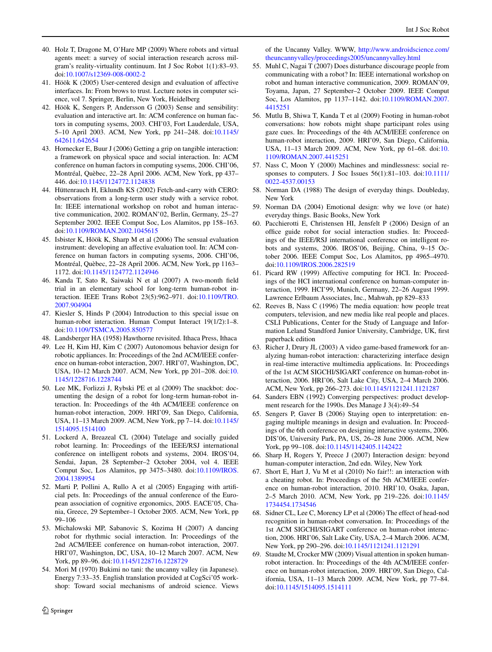- <span id="page-13-15"></span><span id="page-13-14"></span><span id="page-13-13"></span>40. Holz T, Dragone M, O'Hare MP (2009) Where robots and virtual agents meet: a survey of social interaction research across milgram's reality-virtuality continuum. Int J Soc Robot 1(1):83–93. doi:[10.1007/s12369-008-0002-2](http://dx.doi.org/10.1007/s12369-008-0002-2)
- <span id="page-13-4"></span>41. Höök K (2005) User-centered design and evaluation of affective interfaces. In: From brows to trust. Lecture notes in computer science, vol 7. Springer, Berlin, New York, Heidelberg
- <span id="page-13-28"></span>42. Höök K, Sengers P, Andersson G (2003) Sense and sensibility: evaluation and interactive art. In: ACM conference on human factors in computing sysems, 2003. CHI'03, Fort Lauderdale, USA, 5–10 April 2003. ACM, New York, pp 241–248. doi[:10.1145/](http://dx.doi.org/10.1145/642611.642654) [642611.642654](http://dx.doi.org/10.1145/642611.642654)
- <span id="page-13-12"></span>43. Hornecker E, Buur J (2006) Getting a grip on tangible interaction: a framework on physical space and social interaction. In: ACM conference on human factors in computing sysems, 2006. CHI'06, Montréal, Quèbec, 22–28 April 2006. ACM, New York, pp 437– 446. doi[:10.1145/1124772.1124838](http://dx.doi.org/10.1145/1124772.1124838)
- <span id="page-13-29"></span>44. Hüttenrauch H, Eklundh KS (2002) Fetch-and-carry with CERO: observations from a long-term user study with a service robot. In: IEEE international workshop on robot and human interactive communication, 2002. ROMAN'02, Berlin, Germany, 25–27 September 2002. IEEE Comput Soc, Los Alamitos, pp 158–163. doi:[10.1109/ROMAN.2002.1045615](http://dx.doi.org/10.1109/ROMAN.2002.1045615)
- <span id="page-13-0"></span>45. Isbister K, Höök K, Sharp M et al (2006) The sensual evaluation instrument: developing an affective evaluation tool. In: ACM conference on human factors in computing sysems, 2006. CHI'06, Montréal, Quèbec, 22–28 April 2006. ACM, New York, pp 1163– 1172. doi:[10.1145/1124772.1124946](http://dx.doi.org/10.1145/1124772.1124946)
- <span id="page-13-18"></span><span id="page-13-17"></span>46. Kanda T, Sato R, Saiwaki N et al (2007) A two-month field trial in an elementary school for long-term human-robot interaction. IEEE Trans Robot 23(5):962–971. doi[:10.1109/TRO.](http://dx.doi.org/10.1109/TRO.2007.904904) [2007.904904](http://dx.doi.org/10.1109/TRO.2007.904904)
- <span id="page-13-20"></span>47. Kiesler S, Hinds P (2004) Introduction to this special issue on human-robot interaction. Human Comput Interact 19(1/2):1–8. doi:[10.1109/TSMCA.2005.850577](http://dx.doi.org/10.1109/TSMCA.2005.850577)
- 48. Landsberger HA (1958) Hawthorne revisited. Ithaca Press, Ithaca
- <span id="page-13-27"></span>49. Lee H, Kim HJ, Kim C (2007) Autonomous behavior design for robotic appliances. In: Proceedings of the 2nd ACM/IEEE conference on human-robot interaction, 2007. HRI'07, Washington, DC, USA, 10–12 March 2007. ACM, New York, pp 201–208. doi[:10.](http://dx.doi.org/10.1145/1228716.1228744) [1145/1228716.1228744](http://dx.doi.org/10.1145/1228716.1228744)
- <span id="page-13-6"></span>50. Lee MK, Forlizzi J, Rybski PE et al (2009) The snackbot: documenting the design of a robot for long-term human-robot interaction. In: Proceedings of the 4th ACM/IEEE conference on human-robot interaction, 2009. HRI'09, San Diego, California, USA, 11–13 March 2009. ACM, New York, pp 7–14. doi[:10.1145/](http://dx.doi.org/10.1145/1514095.1514100) [1514095.1514100](http://dx.doi.org/10.1145/1514095.1514100)
- <span id="page-13-5"></span>51. Lockerd A, Breazeal CL (2004) Tutelage and socially guided robot learning. In: Proceedings of the IEEE/RSJ international conference on intelligent robots and systems, 2004. IROS'04, Sendai, Japan, 28 September–2 October 2004, vol 4. IEEE Comput Soc, Los Alamitos, pp 3475–3480. doi:[10.1109/IROS.](http://dx.doi.org/10.1109/IROS.2004.1389954) [2004.1389954](http://dx.doi.org/10.1109/IROS.2004.1389954)
- <span id="page-13-19"></span>52. Marti P, Pollini A, Rullo A et al (2005) Engaging with artificial pets. In: Proceedings of the annual conference of the European association of cognitive ergonomics, 2005. EACE'05, Chania, Greece, 29 September–1 October 2005. ACM, New York, pp 99–106
- 53. Michalowski MP, Sabanovic S, Kozima H (2007) A dancing robot for rhythmic social interaction. In: Proceedings of the 2nd ACM/IEEE conference on human-robot interaction, 2007. HRI'07, Washington, DC, USA, 10–12 March 2007. ACM, New York, pp 89–96. doi[:10.1145/1228716.1228729](http://dx.doi.org/10.1145/1228716.1228729)
- 54. Mori M (1970) Bukimi no tani: the uncanny valley (in Japanese). Energy 7:33–35. English translation provided at CogSci'05 workshop: Toward social mechanisms of android science. Views

<span id="page-13-26"></span>of the Uncanny Valley. WWW, [http://www.androidscience.com/](http://www.androidscience.com/theuncannyvalley/proceedings2005/uncannyvalley.html) [theuncannyvalley/proceedings2005/uncannyvalley.html](http://www.androidscience.com/theuncannyvalley/proceedings2005/uncannyvalley.html)

- <span id="page-13-21"></span><span id="page-13-2"></span>55. Muhl C, Nagai T (2007) Does disturbance discourage people from communicating with a robot? In: IEEE international workshop on robot and human interactive communication, 2009. ROMAN'09, Toyama, Japan, 27 September–2 October 2009. IEEE Comput Soc, Los Alamitos, pp 1137–1142. doi:[10.1109/ROMAN.2007.](http://dx.doi.org/10.1109/ROMAN.2007.4415251) [4415251](http://dx.doi.org/10.1109/ROMAN.2007.4415251)
- <span id="page-13-8"></span><span id="page-13-1"></span>56. Mutlu B, Shiwa T, Kanda T et al (2009) Footing in human-robot conversations: how robots might shape participant roles using gaze cues. In: Proceedings of the 4th ACM/IEEE conference on human-robot interaction, 2009. HRI'09, San Diego, California, USA, 11–13 March 2009. ACM, New York, pp 61–68. doi[:10.](http://dx.doi.org/10.1109/ROMAN.2007.4415251) [1109/ROMAN.2007.4415251](http://dx.doi.org/10.1109/ROMAN.2007.4415251)
- <span id="page-13-24"></span>57. Nass C, Moon Y (2000) Machines and mindlessness: social responses to computers. J Soc Issues 56(1):81–103. doi[:10.1111/](http://dx.doi.org/10.1111/0022-4537.00153) [0022-4537.00153](http://dx.doi.org/10.1111/0022-4537.00153)
- <span id="page-13-11"></span>58. Norman DA (1988) The design of everyday things. Doubleday, New York
- 59. Norman DA (2004) Emotional design: why we love (or hate) everyday things. Basic Books, New York
- <span id="page-13-3"></span>60. Pacchierotti E, Christensen HI, Jensfelt P (2006) Design of an office guide robot for social interaction studies. In: Proceedings of the IEEE/RSJ international conference on intelligent robots and systems, 2006. IROS'06, Beijing, China, 9–15 October 2006. IEEE Comput Soc, Los Alamitos, pp 4965–4970. doi:[10.1109/IROS.2006.282519](http://dx.doi.org/10.1109/IROS.2006.282519)
- <span id="page-13-10"></span>61. Picard RW (1999) Affective computing for HCI. In: Proceedings of the HCI international conference on human-computer interaction, 1999. HCI'99, Munich, Germany, 22–26 August 1999. Lawrence Erlbaum Associates, Inc., Mahwah, pp 829–833
- <span id="page-13-7"></span>62. Reeves B, Nass C (1996) The media equation: how people treat computers, television, and new media like real people and places. CSLI Publications, Center for the Study of Language and Information Leland Standford Junior University, Cambridge, UK, first paperback edition
- <span id="page-13-16"></span>63. Richer J, Drury JL (2003) A video game-based framework for analyzing human-robot interaction: characterizing interface design in real-time interactive multimedia applications. In: Proceedings of the 1st ACM SIGCHI/SIGART conference on human-robot interaction, 2006. HRI'06, Salt Lake City, USA, 2–4 March 2006. ACM, New York, pp 266–273. doi:[10.1145/1121241.1121287](http://dx.doi.org/10.1145/1121241.1121287)
- <span id="page-13-25"></span><span id="page-13-9"></span>64. Sanders EBN (1992) Converging perspectives: product development research for the 1990s. Des Manage J 3(4):49–54
- 65. Sengers P, Gaver B (2006) Staying open to interpretation: engaging multiple meanings in design and evaluation. In: Proceedings of the 6th conference on designing interactive systems, 2006. DIS'06, University Park, PA, US, 26–28 June 2006. ACM, New York, pp 99–108. doi:[10.1145/1142405.1142422](http://dx.doi.org/10.1145/1142405.1142422)
- <span id="page-13-22"></span>66. Sharp H, Rogers Y, Preece J (2007) Interaction design: beyond human-computer interaction, 2nd edn. Wiley, New York
- <span id="page-13-23"></span>67. Short E, Hart J, Vu M et al (2010) No fair!!: an interaction with a cheating robot. In: Proceedings of the 5th ACM/IEEE conference on human-robot interaction, 2010. HRI'10, Osaka, Japan, 2–5 March 2010. ACM, New York, pp 219–226. doi[:10.1145/](http://dx.doi.org/10.1145/1734454.1734546) [1734454.1734546](http://dx.doi.org/10.1145/1734454.1734546)
- 68. Sidner CL, Lee C, Morency LP et al (2006) The effect of head-nod recognition in human-robot conversation. In: Proceedings of the 1st ACM SIGCHI/SIGART conference on human-robot interaction, 2006. HRI'06, Salt Lake City, USA, 2–4 March 2006. ACM, New York, pp 290–296. doi:[10.1145/1121241.1121291](http://dx.doi.org/10.1145/1121241.1121291)
- 69. Staudte M, Crocker MW (2009) Visual attention in spoken humanrobot interaction. In: Proceedings of the 4th ACM/IEEE conference on human-robot interaction, 2009. HRI'09, San Diego, California, USA, 11–13 March 2009. ACM, New York, pp 77–84. doi:[10.1145/1514095.1514111](http://dx.doi.org/10.1145/1514095.1514111)